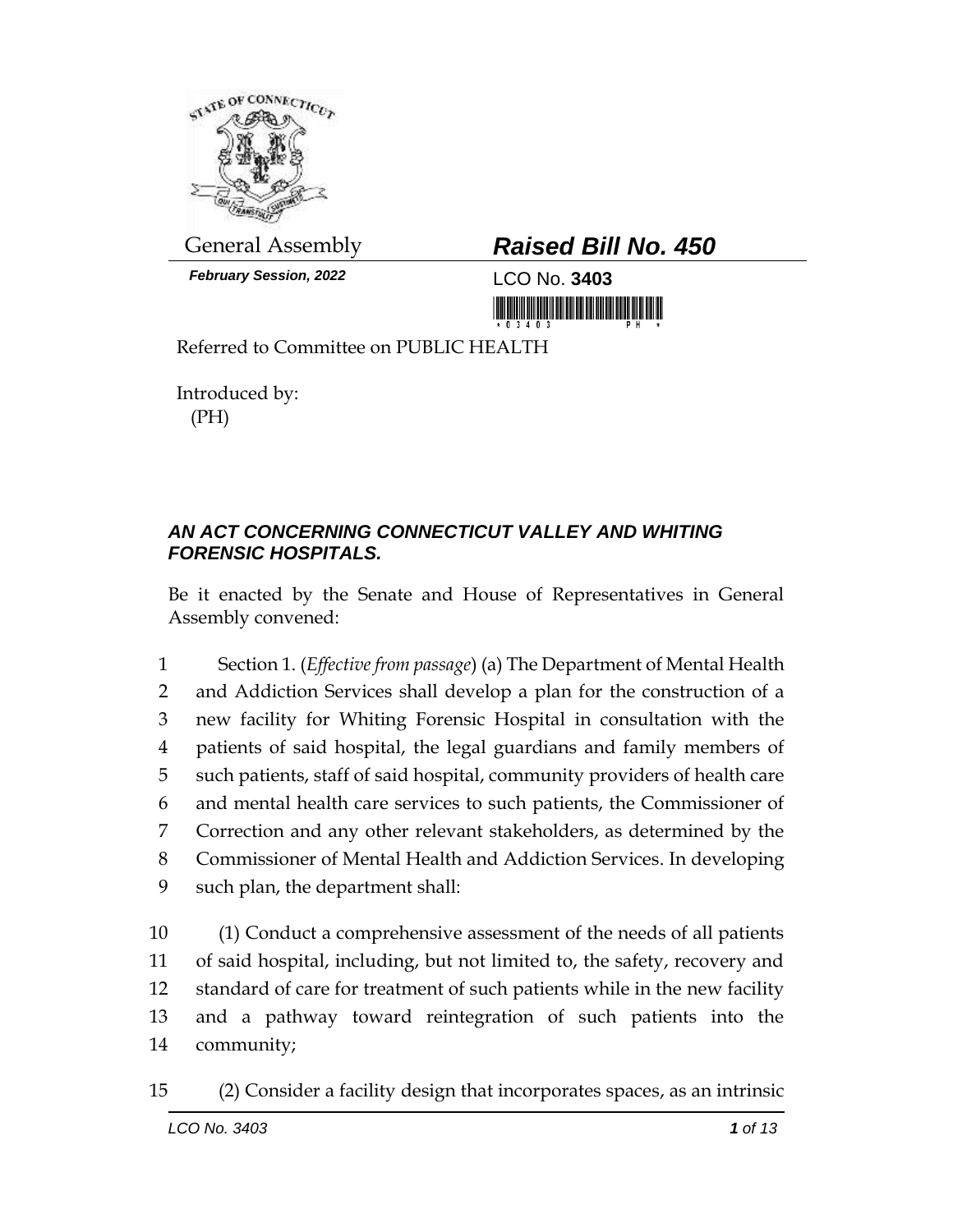

*February Session, 2022* LCO No. **3403**

## General Assembly *Raised Bill No. 450*

<u> 1999 - Andrew Maria Maria Maria Maria Maria Maria Maria Maria Maria Maria Maria Maria Maria Maria Maria Mari</u>

Referred to Committee on PUBLIC HEALTH

Introduced by: (PH)

## *AN ACT CONCERNING CONNECTICUT VALLEY AND WHITING FORENSIC HOSPITALS.*

Be it enacted by the Senate and House of Representatives in General Assembly convened:

 Section 1. (*Effective from passage*) (a) The Department of Mental Health and Addiction Services shall develop a plan for the construction of a new facility for Whiting Forensic Hospital in consultation with the patients of said hospital, the legal guardians and family members of such patients, staff of said hospital, community providers of health care and mental health care services to such patients, the Commissioner of Correction and any other relevant stakeholders, as determined by the Commissioner of Mental Health and Addiction Services. In developing such plan, the department shall:

 (1) Conduct a comprehensive assessment of the needs of all patients of said hospital, including, but not limited to, the safety, recovery and standard of care for treatment of such patients while in the new facility and a pathway toward reintegration of such patients into the community;

15 (2) Consider a facility design that incorporates spaces, as an intrinsic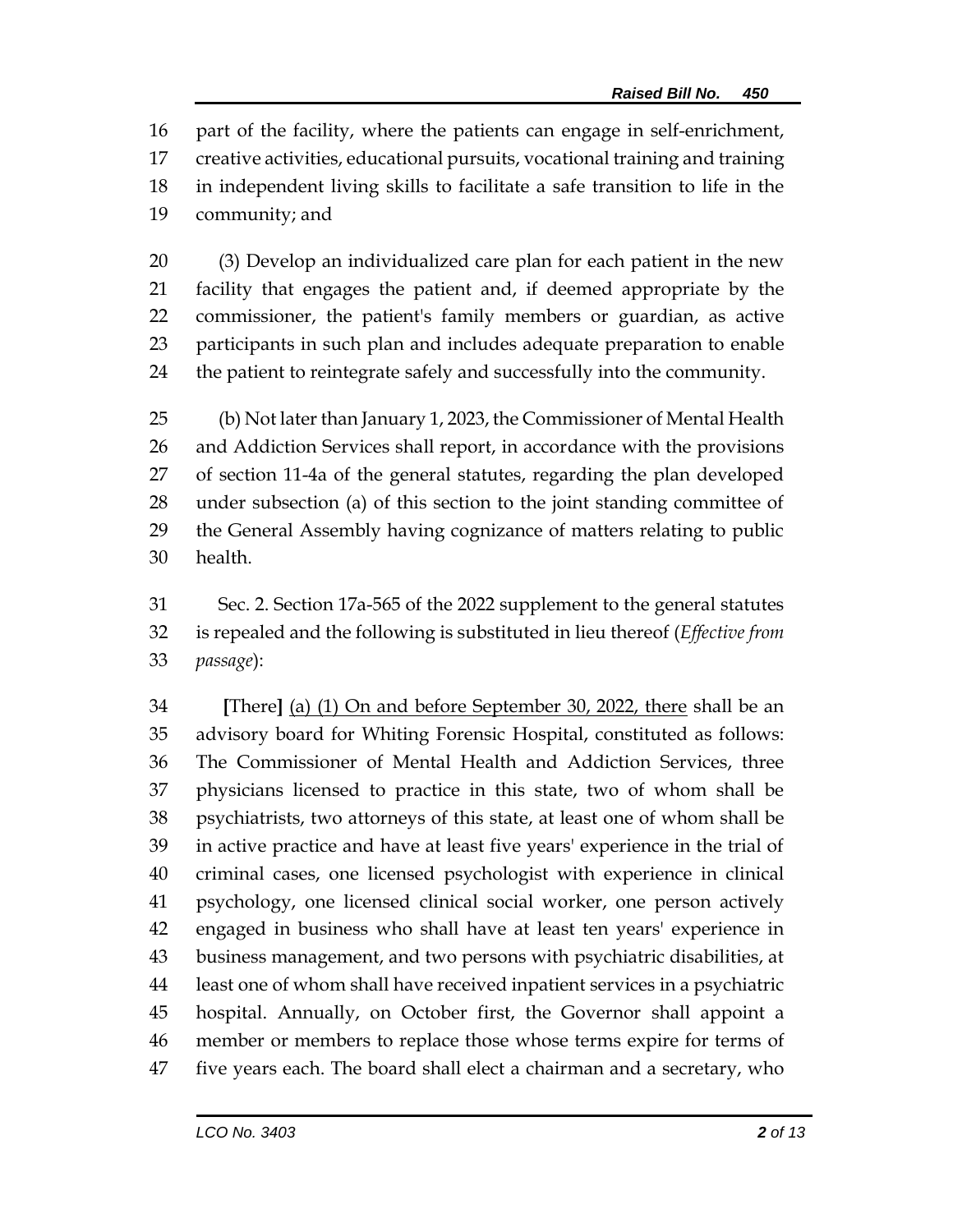part of the facility, where the patients can engage in self-enrichment, creative activities, educational pursuits, vocational training and training in independent living skills to facilitate a safe transition to life in the community; and

 (3) Develop an individualized care plan for each patient in the new facility that engages the patient and, if deemed appropriate by the commissioner, the patient's family members or guardian, as active participants in such plan and includes adequate preparation to enable the patient to reintegrate safely and successfully into the community.

 (b) Not later than January 1, 2023, the Commissioner of Mental Health and Addiction Services shall report, in accordance with the provisions of section 11-4a of the general statutes, regarding the plan developed under subsection (a) of this section to the joint standing committee of the General Assembly having cognizance of matters relating to public health.

 Sec. 2. Section 17a-565 of the 2022 supplement to the general statutes is repealed and the following is substituted in lieu thereof (*Effective from passage*):

 **[**There**]** (a) (1) On and before September 30, 2022, there shall be an advisory board for Whiting Forensic Hospital, constituted as follows: The Commissioner of Mental Health and Addiction Services, three physicians licensed to practice in this state, two of whom shall be psychiatrists, two attorneys of this state, at least one of whom shall be in active practice and have at least five years' experience in the trial of criminal cases, one licensed psychologist with experience in clinical psychology, one licensed clinical social worker, one person actively engaged in business who shall have at least ten years' experience in business management, and two persons with psychiatric disabilities, at least one of whom shall have received inpatient services in a psychiatric hospital. Annually, on October first, the Governor shall appoint a member or members to replace those whose terms expire for terms of five years each. The board shall elect a chairman and a secretary, who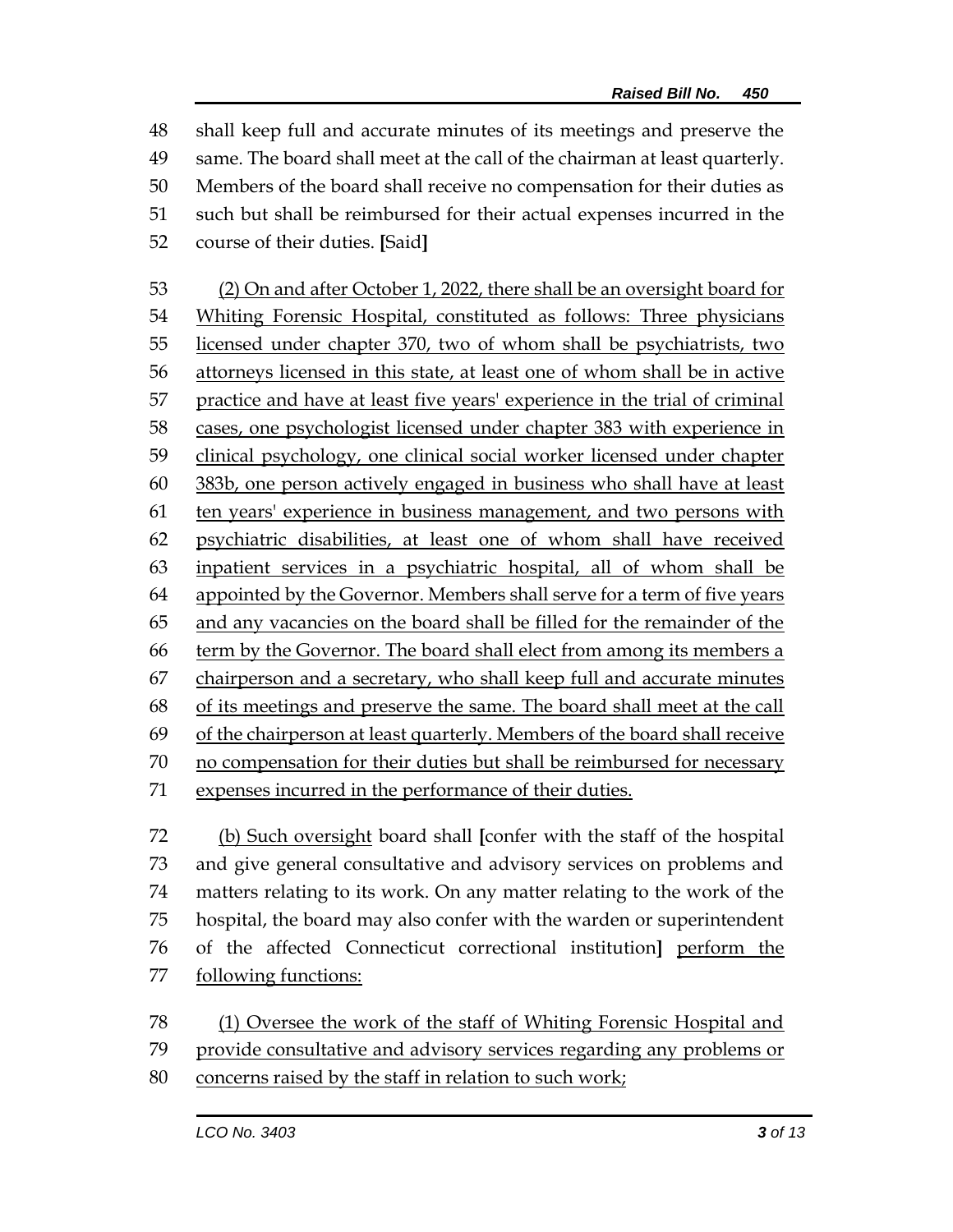shall keep full and accurate minutes of its meetings and preserve the same. The board shall meet at the call of the chairman at least quarterly. Members of the board shall receive no compensation for their duties as such but shall be reimbursed for their actual expenses incurred in the course of their duties. **[**Said**]**

 (2) On and after October 1, 2022, there shall be an oversight board for Whiting Forensic Hospital, constituted as follows: Three physicians licensed under chapter 370, two of whom shall be psychiatrists, two attorneys licensed in this state, at least one of whom shall be in active practice and have at least five years' experience in the trial of criminal cases, one psychologist licensed under chapter 383 with experience in clinical psychology, one clinical social worker licensed under chapter 383b, one person actively engaged in business who shall have at least ten years' experience in business management, and two persons with psychiatric disabilities, at least one of whom shall have received inpatient services in a psychiatric hospital, all of whom shall be appointed by the Governor. Members shall serve for a term of five years and any vacancies on the board shall be filled for the remainder of the term by the Governor. The board shall elect from among its members a chairperson and a secretary, who shall keep full and accurate minutes of its meetings and preserve the same. The board shall meet at the call 69 of the chairperson at least quarterly. Members of the board shall receive no compensation for their duties but shall be reimbursed for necessary expenses incurred in the performance of their duties.

 (b) Such oversight board shall **[**confer with the staff of the hospital and give general consultative and advisory services on problems and matters relating to its work. On any matter relating to the work of the hospital, the board may also confer with the warden or superintendent of the affected Connecticut correctional institution**]** perform the 77 following functions:

(1) Oversee the work of the staff of Whiting Forensic Hospital and

provide consultative and advisory services regarding any problems or

concerns raised by the staff in relation to such work;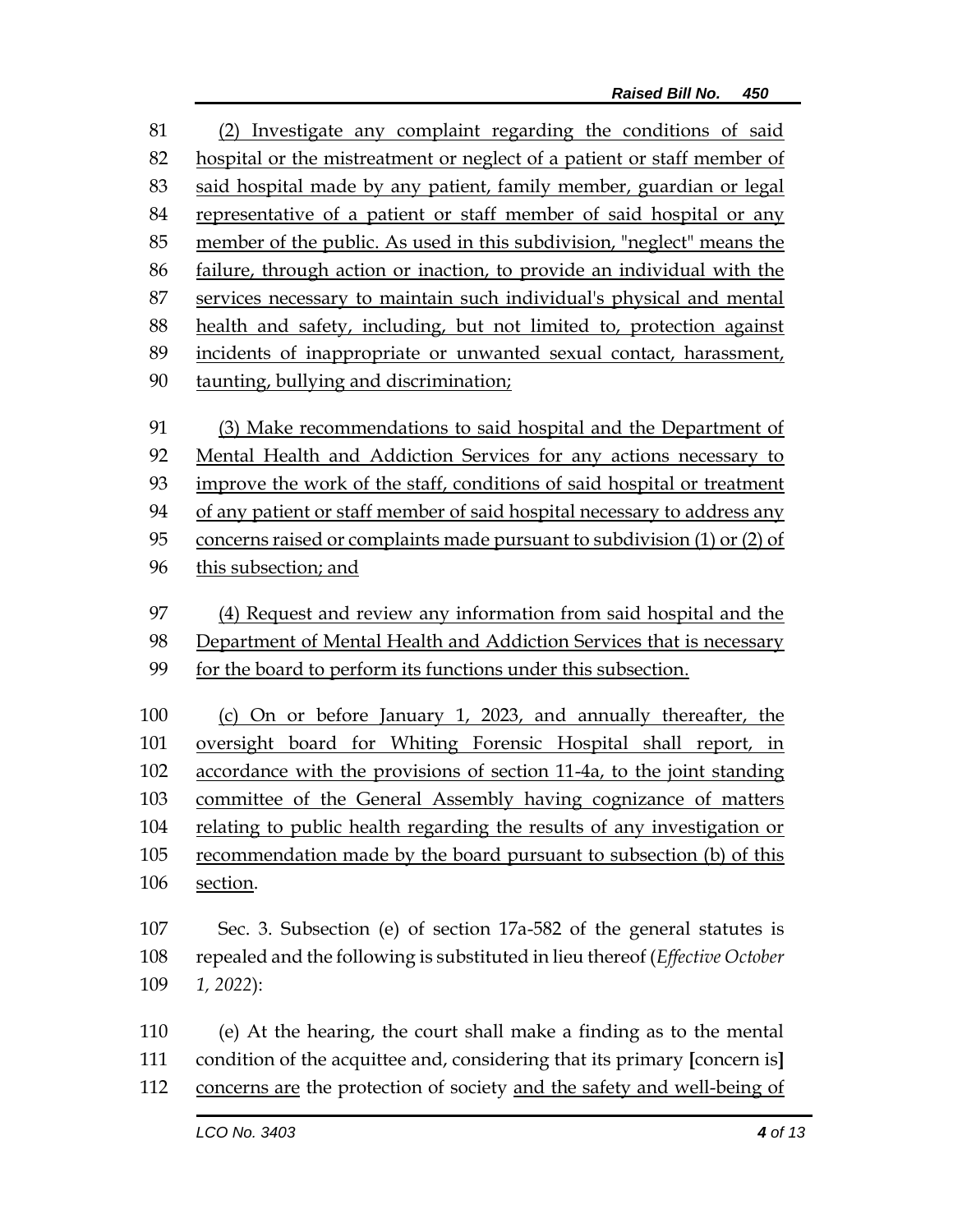(2) Investigate any complaint regarding the conditions of said hospital or the mistreatment or neglect of a patient or staff member of said hospital made by any patient, family member, guardian or legal representative of a patient or staff member of said hospital or any member of the public. As used in this subdivision, "neglect" means the failure, through action or inaction, to provide an individual with the services necessary to maintain such individual's physical and mental health and safety, including, but not limited to, protection against incidents of inappropriate or unwanted sexual contact, harassment, taunting, bullying and discrimination;

 (3) Make recommendations to said hospital and the Department of Mental Health and Addiction Services for any actions necessary to improve the work of the staff, conditions of said hospital or treatment of any patient or staff member of said hospital necessary to address any concerns raised or complaints made pursuant to subdivision (1) or (2) of this subsection; and

 (4) Request and review any information from said hospital and the Department of Mental Health and Addiction Services that is necessary

 (c) On or before January 1, 2023, and annually thereafter, the oversight board for Whiting Forensic Hospital shall report, in accordance with the provisions of section 11-4a, to the joint standing committee of the General Assembly having cognizance of matters relating to public health regarding the results of any investigation or recommendation made by the board pursuant to subsection (b) of this section.

 Sec. 3. Subsection (e) of section 17a-582 of the general statutes is repealed and the following is substituted in lieu thereof (*Effective October 1, 2022*):

 (e) At the hearing, the court shall make a finding as to the mental condition of the acquittee and, considering that its primary **[**concern is**]** concerns are the protection of society and the safety and well-being of

for the board to perform its functions under this subsection.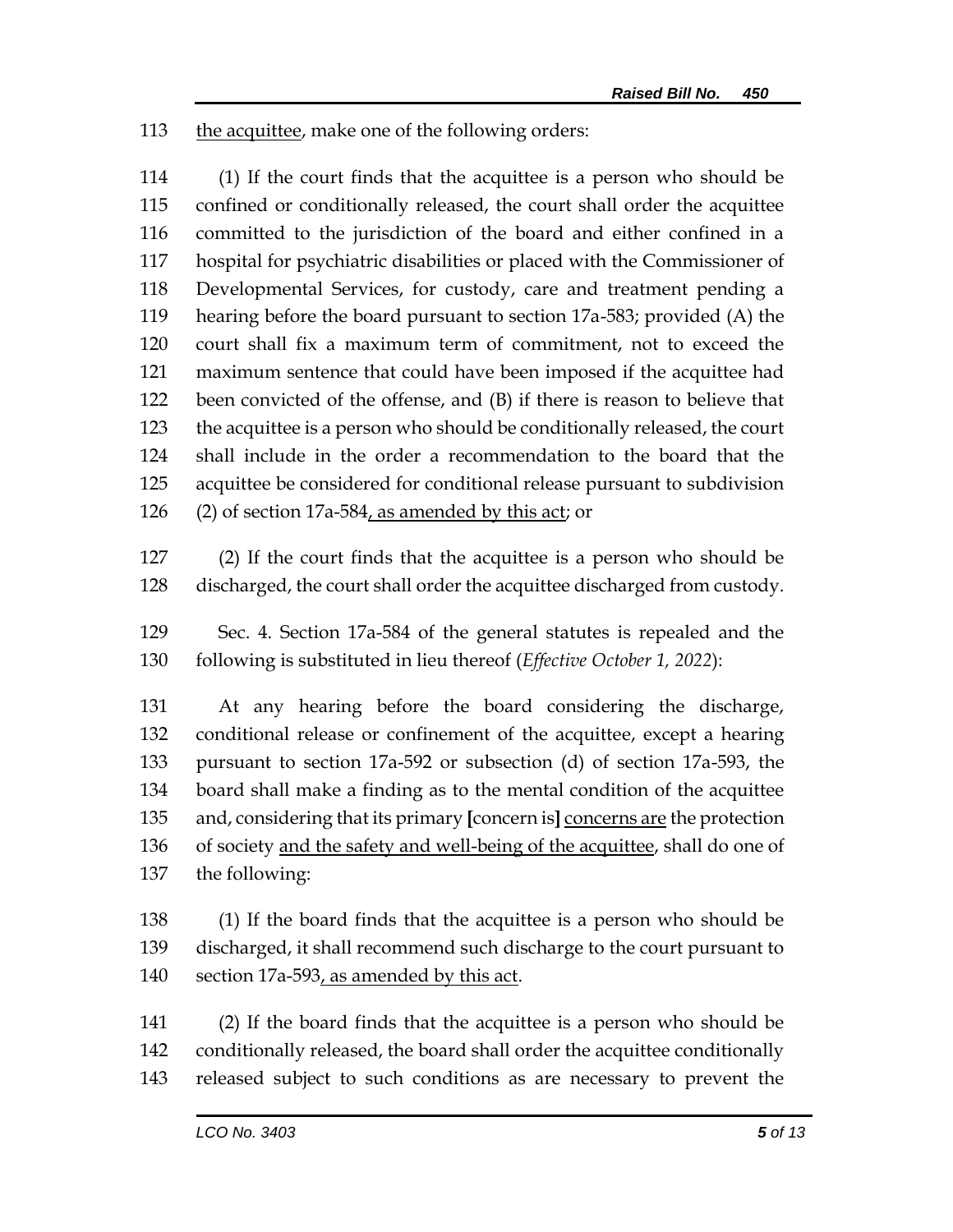the acquittee, make one of the following orders:

 (1) If the court finds that the acquittee is a person who should be confined or conditionally released, the court shall order the acquittee committed to the jurisdiction of the board and either confined in a hospital for psychiatric disabilities or placed with the Commissioner of Developmental Services, for custody, care and treatment pending a hearing before the board pursuant to section 17a-583; provided (A) the court shall fix a maximum term of commitment, not to exceed the maximum sentence that could have been imposed if the acquittee had been convicted of the offense, and (B) if there is reason to believe that the acquittee is a person who should be conditionally released, the court shall include in the order a recommendation to the board that the acquittee be considered for conditional release pursuant to subdivision 126 (2) of section 17a-584, as amended by this act; or

 (2) If the court finds that the acquittee is a person who should be discharged, the court shall order the acquittee discharged from custody.

 Sec. 4. Section 17a-584 of the general statutes is repealed and the following is substituted in lieu thereof (*Effective October 1, 2022*):

 At any hearing before the board considering the discharge, conditional release or confinement of the acquittee, except a hearing pursuant to section 17a-592 or subsection (d) of section 17a-593, the board shall make a finding as to the mental condition of the acquittee and, considering that its primary **[**concern is**]** concerns are the protection 136 of society and the safety and well-being of the acquittee, shall do one of the following:

 (1) If the board finds that the acquittee is a person who should be discharged, it shall recommend such discharge to the court pursuant to section 17a-593, as amended by this act.

 (2) If the board finds that the acquittee is a person who should be conditionally released, the board shall order the acquittee conditionally released subject to such conditions as are necessary to prevent the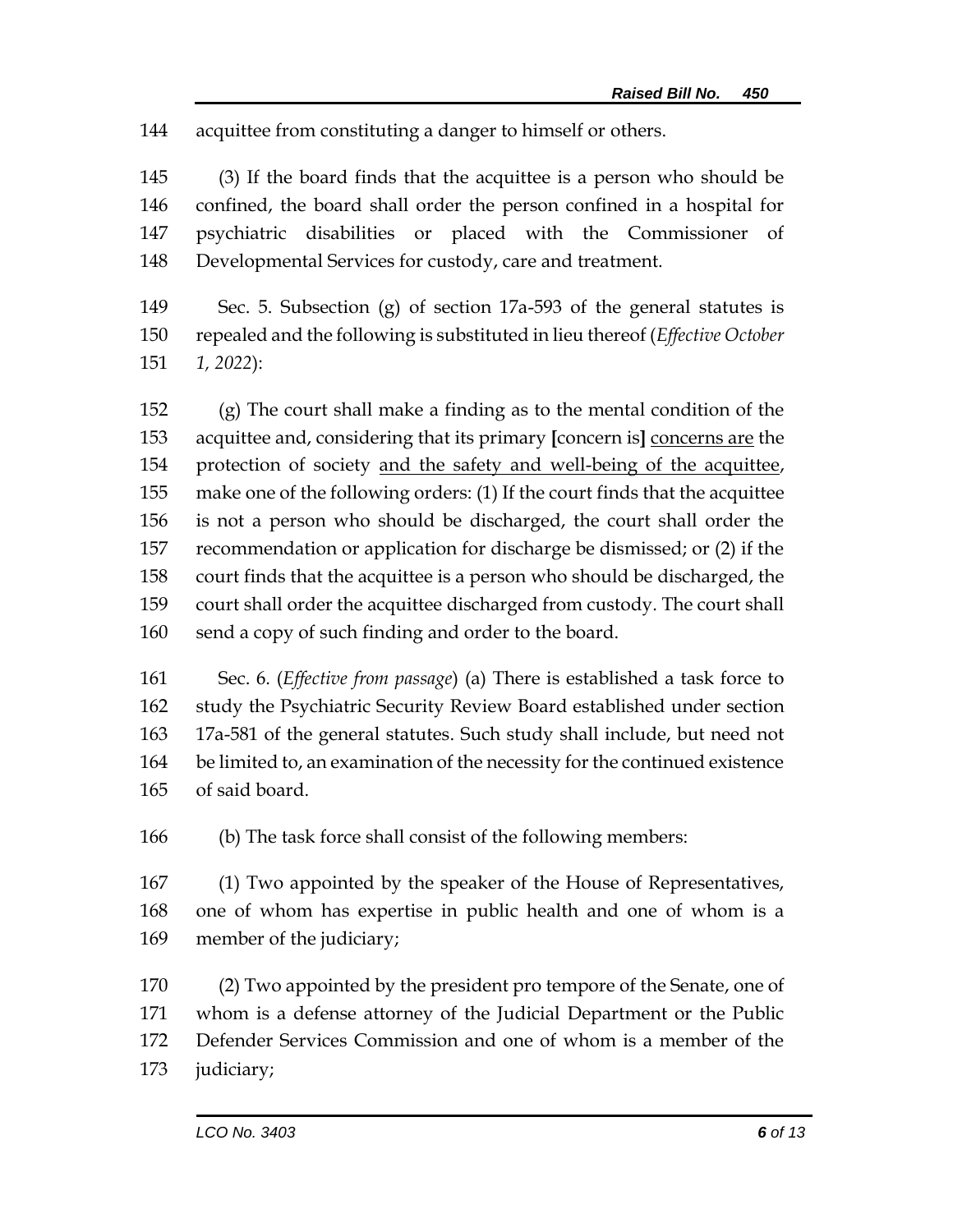acquittee from constituting a danger to himself or others.

 (3) If the board finds that the acquittee is a person who should be confined, the board shall order the person confined in a hospital for psychiatric disabilities or placed with the Commissioner of Developmental Services for custody, care and treatment.

 Sec. 5. Subsection (g) of section 17a-593 of the general statutes is repealed and the following is substituted in lieu thereof (*Effective October 1, 2022*):

 (g) The court shall make a finding as to the mental condition of the acquittee and, considering that its primary **[**concern is**]** concerns are the protection of society and the safety and well-being of the acquittee, make one of the following orders: (1) If the court finds that the acquittee is not a person who should be discharged, the court shall order the recommendation or application for discharge be dismissed; or (2) if the court finds that the acquittee is a person who should be discharged, the court shall order the acquittee discharged from custody. The court shall send a copy of such finding and order to the board.

 Sec. 6. (*Effective from passage*) (a) There is established a task force to study the Psychiatric Security Review Board established under section 17a-581 of the general statutes. Such study shall include, but need not be limited to, an examination of the necessity for the continued existence of said board.

(b) The task force shall consist of the following members:

 (1) Two appointed by the speaker of the House of Representatives, one of whom has expertise in public health and one of whom is a member of the judiciary;

 (2) Two appointed by the president pro tempore of the Senate, one of whom is a defense attorney of the Judicial Department or the Public Defender Services Commission and one of whom is a member of the judiciary;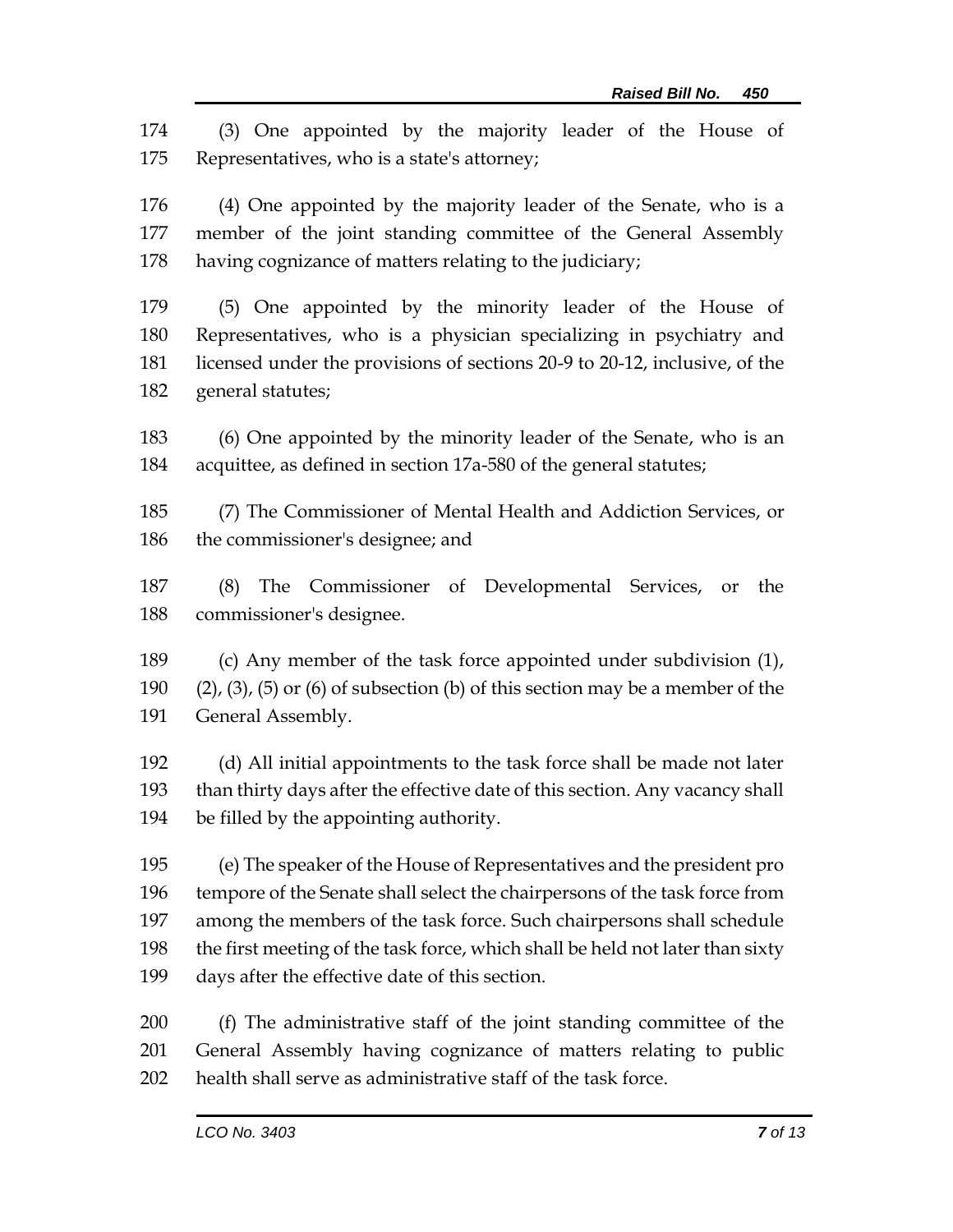(3) One appointed by the majority leader of the House of Representatives, who is a state's attorney;

 (4) One appointed by the majority leader of the Senate, who is a member of the joint standing committee of the General Assembly having cognizance of matters relating to the judiciary;

 (5) One appointed by the minority leader of the House of Representatives, who is a physician specializing in psychiatry and licensed under the provisions of sections 20-9 to 20-12, inclusive, of the general statutes;

 (6) One appointed by the minority leader of the Senate, who is an acquittee, as defined in section 17a-580 of the general statutes;

 (7) The Commissioner of Mental Health and Addiction Services, or the commissioner's designee; and

 (8) The Commissioner of Developmental Services, or the commissioner's designee.

 (c) Any member of the task force appointed under subdivision (1), 190 (2), (3), (5) or (6) of subsection (b) of this section may be a member of the General Assembly.

 (d) All initial appointments to the task force shall be made not later than thirty days after the effective date of this section. Any vacancy shall be filled by the appointing authority.

 (e) The speaker of the House of Representatives and the president pro tempore of the Senate shall select the chairpersons of the task force from among the members of the task force. Such chairpersons shall schedule 198 the first meeting of the task force, which shall be held not later than sixty days after the effective date of this section.

 (f) The administrative staff of the joint standing committee of the General Assembly having cognizance of matters relating to public health shall serve as administrative staff of the task force.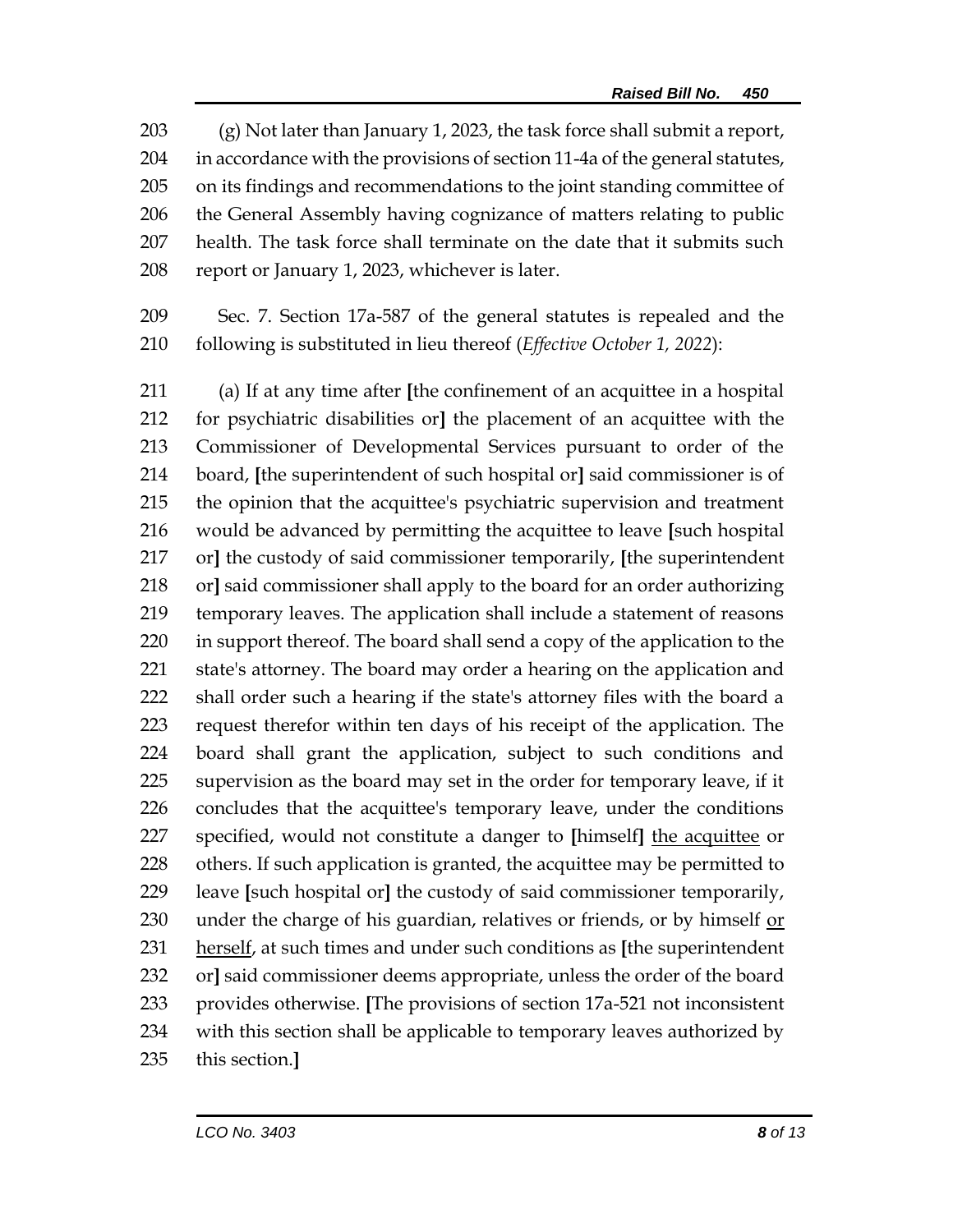(g) Not later than January 1, 2023, the task force shall submit a report, in accordance with the provisions of section 11-4a of the general statutes, on its findings and recommendations to the joint standing committee of the General Assembly having cognizance of matters relating to public health. The task force shall terminate on the date that it submits such report or January 1, 2023, whichever is later.

 Sec. 7. Section 17a-587 of the general statutes is repealed and the following is substituted in lieu thereof (*Effective October 1, 2022*):

 (a) If at any time after **[**the confinement of an acquittee in a hospital for psychiatric disabilities or**]** the placement of an acquittee with the Commissioner of Developmental Services pursuant to order of the board, **[**the superintendent of such hospital or**]** said commissioner is of the opinion that the acquittee's psychiatric supervision and treatment would be advanced by permitting the acquittee to leave **[**such hospital or**]** the custody of said commissioner temporarily, **[**the superintendent or**]** said commissioner shall apply to the board for an order authorizing temporary leaves. The application shall include a statement of reasons in support thereof. The board shall send a copy of the application to the state's attorney. The board may order a hearing on the application and shall order such a hearing if the state's attorney files with the board a request therefor within ten days of his receipt of the application. The board shall grant the application, subject to such conditions and supervision as the board may set in the order for temporary leave, if it concludes that the acquittee's temporary leave, under the conditions specified, would not constitute a danger to **[**himself**]** the acquittee or 228 others. If such application is granted, the acquittee may be permitted to leave **[**such hospital or**]** the custody of said commissioner temporarily, under the charge of his guardian, relatives or friends, or by himself or herself, at such times and under such conditions as **[**the superintendent or**]** said commissioner deems appropriate, unless the order of the board provides otherwise. **[**The provisions of section 17a-521 not inconsistent with this section shall be applicable to temporary leaves authorized by this section.**]**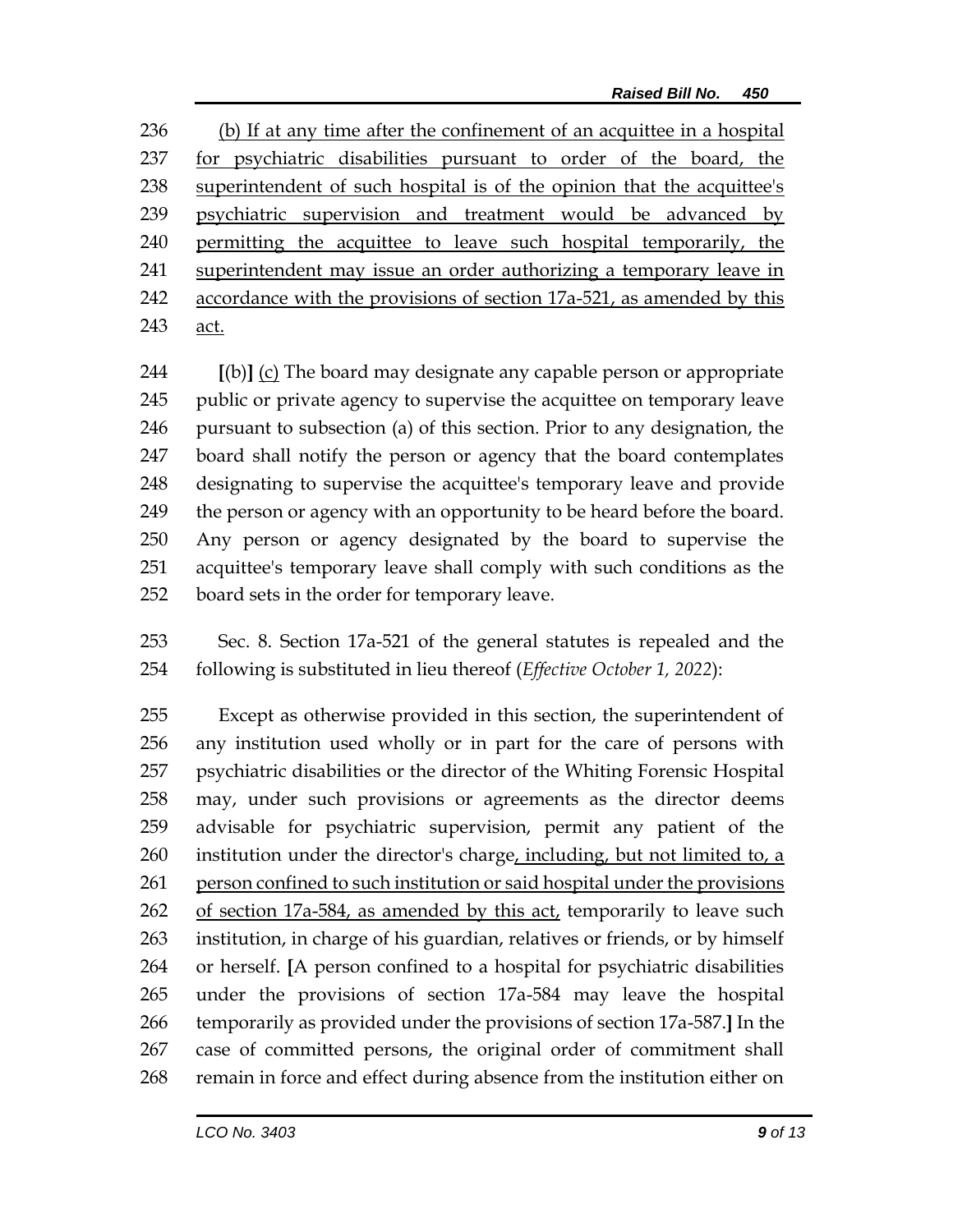(b) If at any time after the confinement of an acquittee in a hospital for psychiatric disabilities pursuant to order of the board, the superintendent of such hospital is of the opinion that the acquittee's psychiatric supervision and treatment would be advanced by permitting the acquittee to leave such hospital temporarily, the superintendent may issue an order authorizing a temporary leave in 242 accordance with the provisions of section 17a-521, as amended by this act.

 **[**(b)**]** (c) The board may designate any capable person or appropriate public or private agency to supervise the acquittee on temporary leave pursuant to subsection (a) of this section. Prior to any designation, the board shall notify the person or agency that the board contemplates designating to supervise the acquittee's temporary leave and provide 249 the person or agency with an opportunity to be heard before the board. Any person or agency designated by the board to supervise the acquittee's temporary leave shall comply with such conditions as the board sets in the order for temporary leave.

 Sec. 8. Section 17a-521 of the general statutes is repealed and the following is substituted in lieu thereof (*Effective October 1, 2022*):

 Except as otherwise provided in this section, the superintendent of any institution used wholly or in part for the care of persons with psychiatric disabilities or the director of the Whiting Forensic Hospital may, under such provisions or agreements as the director deems advisable for psychiatric supervision, permit any patient of the institution under the director's charge, including, but not limited to, a person confined to such institution or said hospital under the provisions of section 17a-584, as amended by this act, temporarily to leave such institution, in charge of his guardian, relatives or friends, or by himself or herself. **[**A person confined to a hospital for psychiatric disabilities under the provisions of section 17a-584 may leave the hospital temporarily as provided under the provisions of section 17a-587.**]** In the case of committed persons, the original order of commitment shall remain in force and effect during absence from the institution either on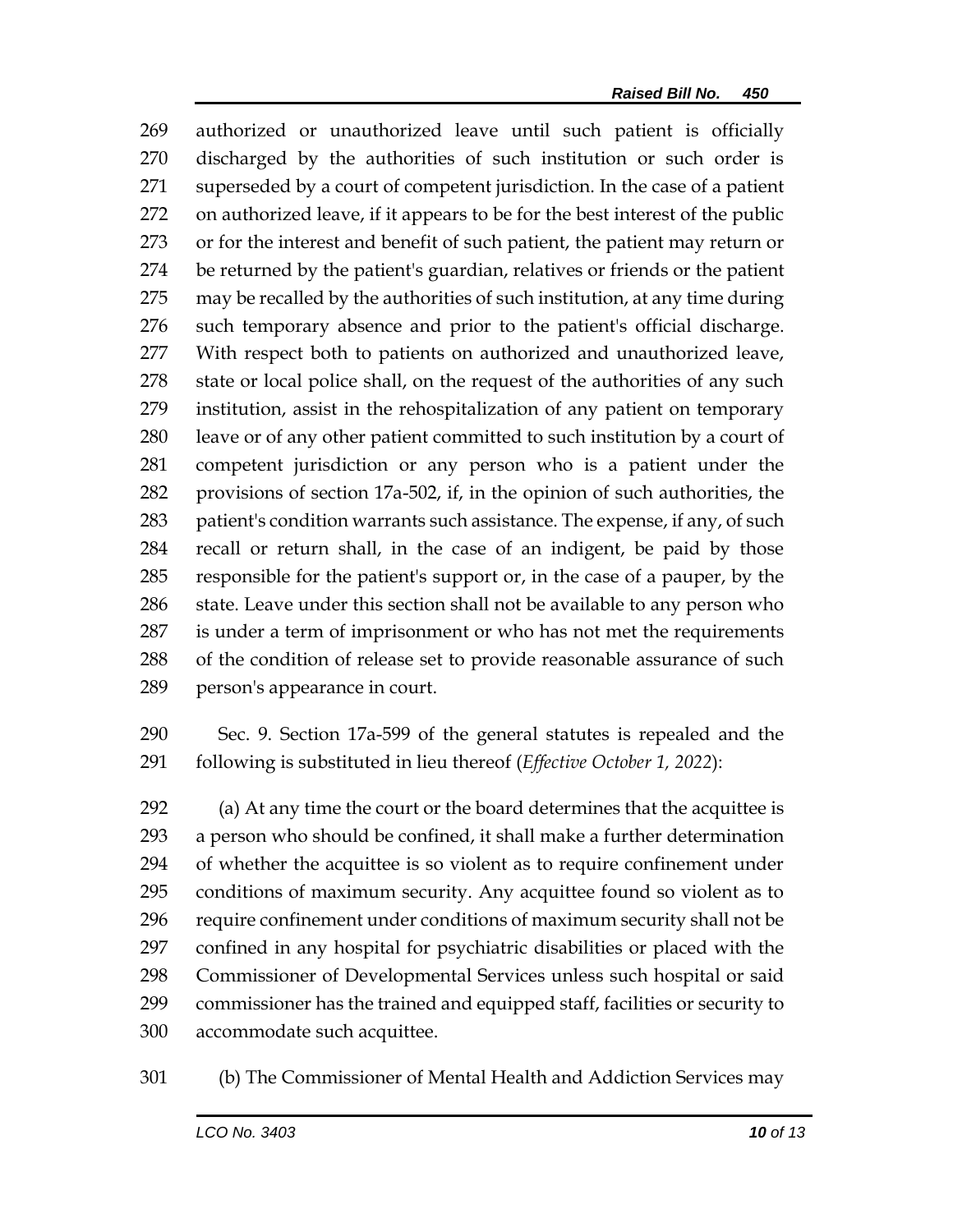authorized or unauthorized leave until such patient is officially discharged by the authorities of such institution or such order is superseded by a court of competent jurisdiction. In the case of a patient on authorized leave, if it appears to be for the best interest of the public or for the interest and benefit of such patient, the patient may return or be returned by the patient's guardian, relatives or friends or the patient may be recalled by the authorities of such institution, at any time during such temporary absence and prior to the patient's official discharge. With respect both to patients on authorized and unauthorized leave, 278 state or local police shall, on the request of the authorities of any such institution, assist in the rehospitalization of any patient on temporary leave or of any other patient committed to such institution by a court of competent jurisdiction or any person who is a patient under the provisions of section 17a-502, if, in the opinion of such authorities, the patient's condition warrants such assistance. The expense, if any, of such recall or return shall, in the case of an indigent, be paid by those responsible for the patient's support or, in the case of a pauper, by the 286 state. Leave under this section shall not be available to any person who is under a term of imprisonment or who has not met the requirements of the condition of release set to provide reasonable assurance of such person's appearance in court.

 Sec. 9. Section 17a-599 of the general statutes is repealed and the following is substituted in lieu thereof (*Effective October 1, 2022*):

 (a) At any time the court or the board determines that the acquittee is a person who should be confined, it shall make a further determination of whether the acquittee is so violent as to require confinement under conditions of maximum security. Any acquittee found so violent as to require confinement under conditions of maximum security shall not be confined in any hospital for psychiatric disabilities or placed with the Commissioner of Developmental Services unless such hospital or said commissioner has the trained and equipped staff, facilities or security to accommodate such acquittee.

(b) The Commissioner of Mental Health and Addiction Services may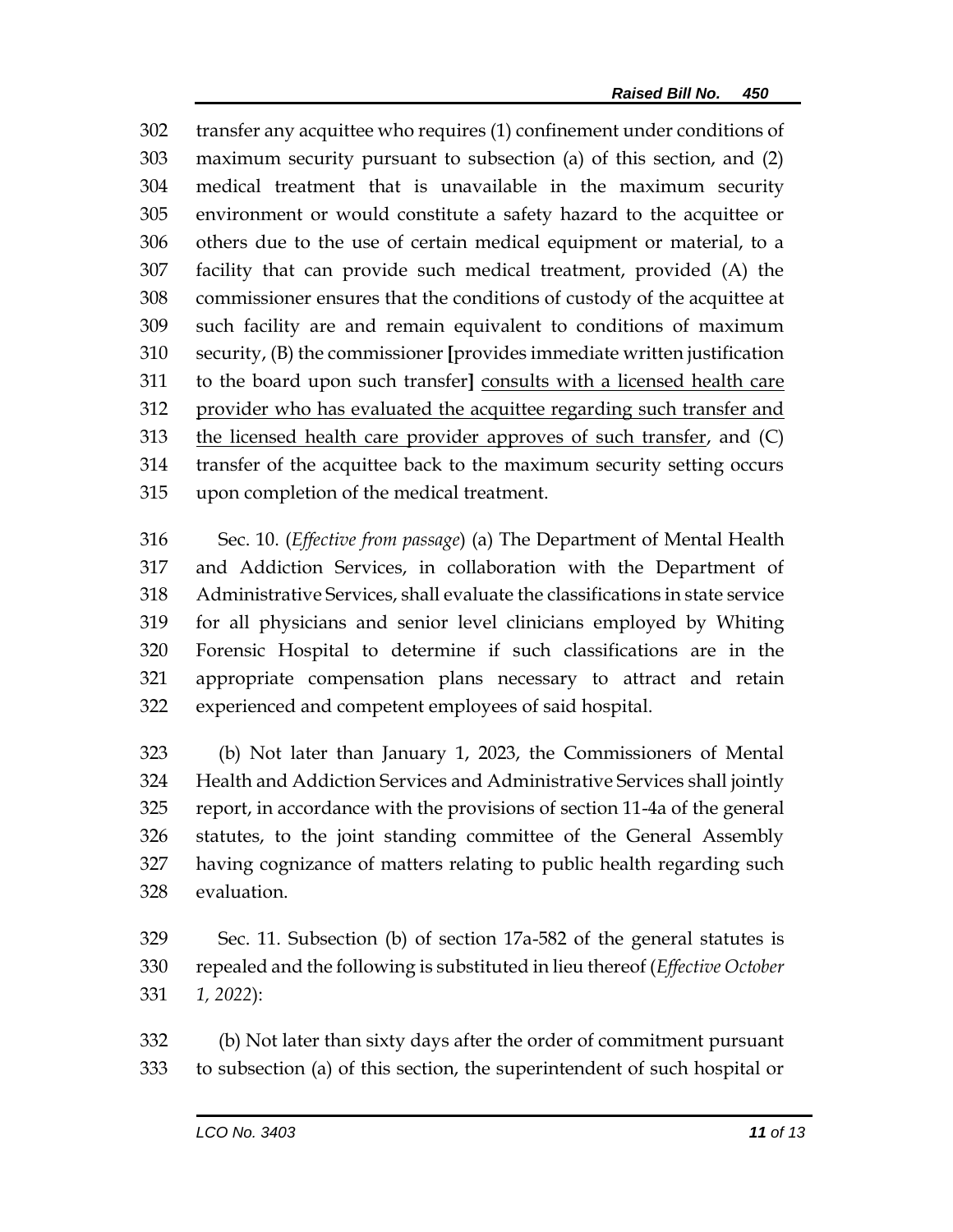transfer any acquittee who requires (1) confinement under conditions of maximum security pursuant to subsection (a) of this section, and (2) medical treatment that is unavailable in the maximum security environment or would constitute a safety hazard to the acquittee or others due to the use of certain medical equipment or material, to a facility that can provide such medical treatment, provided (A) the commissioner ensures that the conditions of custody of the acquittee at such facility are and remain equivalent to conditions of maximum security, (B) the commissioner **[**provides immediate written justification to the board upon such transfer**]** consults with a licensed health care 312 provider who has evaluated the acquittee regarding such transfer and the licensed health care provider approves of such transfer, and (C) transfer of the acquittee back to the maximum security setting occurs upon completion of the medical treatment.

 Sec. 10. (*Effective from passage*) (a) The Department of Mental Health and Addiction Services, in collaboration with the Department of Administrative Services, shall evaluate the classifications in state service for all physicians and senior level clinicians employed by Whiting Forensic Hospital to determine if such classifications are in the appropriate compensation plans necessary to attract and retain experienced and competent employees of said hospital.

 (b) Not later than January 1, 2023, the Commissioners of Mental Health and Addiction Services and Administrative Services shall jointly report, in accordance with the provisions of section 11-4a of the general statutes, to the joint standing committee of the General Assembly having cognizance of matters relating to public health regarding such evaluation.

 Sec. 11. Subsection (b) of section 17a-582 of the general statutes is repealed and the following is substituted in lieu thereof (*Effective October 1, 2022*):

 (b) Not later than sixty days after the order of commitment pursuant to subsection (a) of this section, the superintendent of such hospital or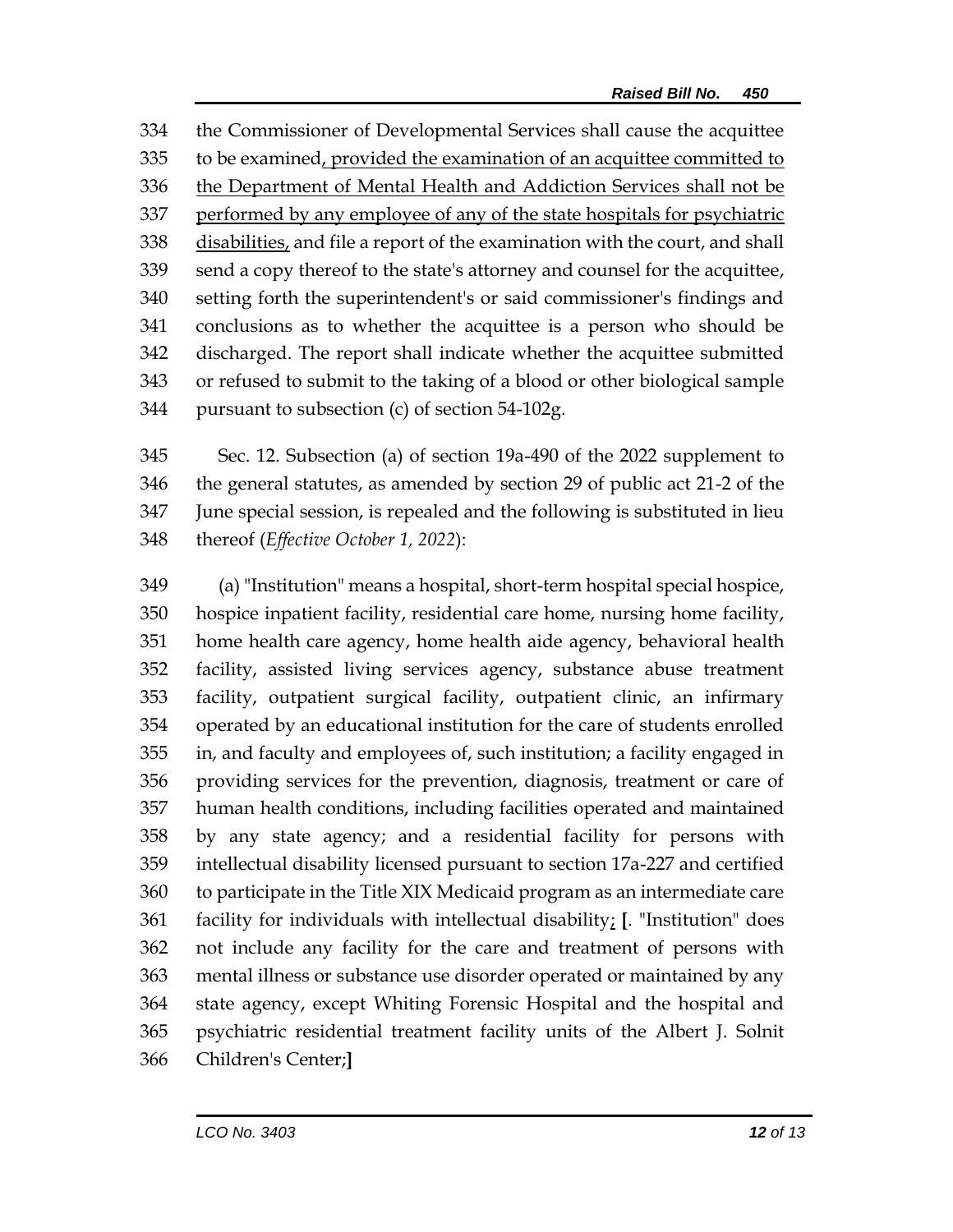the Commissioner of Developmental Services shall cause the acquittee to be examined, provided the examination of an acquittee committed to the Department of Mental Health and Addiction Services shall not be performed by any employee of any of the state hospitals for psychiatric disabilities, and file a report of the examination with the court, and shall send a copy thereof to the state's attorney and counsel for the acquittee, setting forth the superintendent's or said commissioner's findings and conclusions as to whether the acquittee is a person who should be discharged. The report shall indicate whether the acquittee submitted or refused to submit to the taking of a blood or other biological sample pursuant to subsection (c) of section 54-102g.

 Sec. 12. Subsection (a) of section 19a-490 of the 2022 supplement to the general statutes, as amended by section 29 of public act 21-2 of the June special session, is repealed and the following is substituted in lieu thereof (*Effective October 1, 2022*):

 (a) "Institution" means a hospital, short-term hospital special hospice, hospice inpatient facility, residential care home, nursing home facility, home health care agency, home health aide agency, behavioral health facility, assisted living services agency, substance abuse treatment facility, outpatient surgical facility, outpatient clinic, an infirmary operated by an educational institution for the care of students enrolled in, and faculty and employees of, such institution; a facility engaged in providing services for the prevention, diagnosis, treatment or care of human health conditions, including facilities operated and maintained by any state agency; and a residential facility for persons with intellectual disability licensed pursuant to section 17a-227 and certified to participate in the Title XIX Medicaid program as an intermediate care facility for individuals with intellectual disability; **[**. "Institution" does not include any facility for the care and treatment of persons with mental illness or substance use disorder operated or maintained by any state agency, except Whiting Forensic Hospital and the hospital and psychiatric residential treatment facility units of the Albert J. Solnit Children's Center;**]**